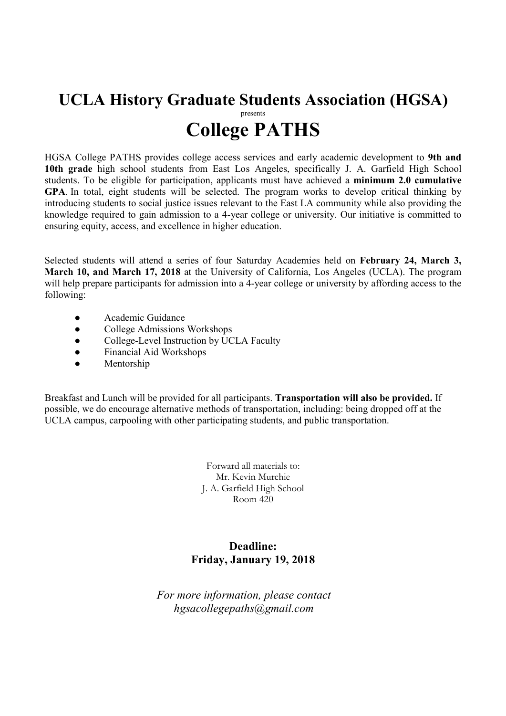## UCLA History Graduate Students Association (HGSA) presents College PATHS

HGSA College PATHS provides college access services and early academic development to 9th and 10th grade high school students from East Los Angeles, specifically J. A. Garfield High School students. To be eligible for participation, applicants must have achieved a minimum 2.0 cumulative GPA. In total, eight students will be selected. The program works to develop critical thinking by introducing students to social justice issues relevant to the East LA community while also providing the knowledge required to gain admission to a 4-year college or university. Our initiative is committed to ensuring equity, access, and excellence in higher education.

Selected students will attend a series of four Saturday Academies held on February 24, March 3, March 10, and March 17, 2018 at the University of California, Los Angeles (UCLA). The program will help prepare participants for admission into a 4-year college or university by affording access to the following:

- Academic Guidance
- College Admissions Workshops<br>● College-Level Instruction by UC
- College-Level Instruction by UCLA Faculty<br>● Financial Aid Workshops
- Financial Aid Workshops
- Mentorship

Breakfast and Lunch will be provided for all participants. Transportation will also be provided. If possible, we do encourage alternative methods of transportation, including: being dropped off at the UCLA campus, carpooling with other participating students, and public transportation.

> Forward all materials to: Mr. Kevin Murchie J. A. Garfield High School Room 420

### Deadline: Friday, January 19, 2018

For more information, please contact hgsacollegepaths@gmail.com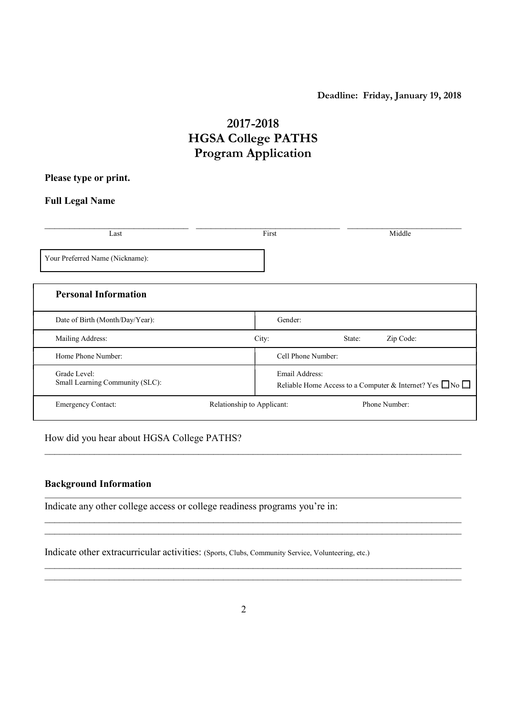#### Deadline: Friday, January 19, 2018

Reliable Home Access to a Computer & Internet? Yes □No

## 2017-2018 HGSA College PATHS Program Application

#### Please type or print.

#### Full Legal Name

| Last                            | First   |                    | Middle    |  |
|---------------------------------|---------|--------------------|-----------|--|
| Your Preferred Name (Nickname): |         |                    |           |  |
| <b>Personal Information</b>     |         |                    |           |  |
| Date of Birth (Month/Day/Year): | Gender: |                    |           |  |
| Mailing Address:                | City:   | State:             | Zip Code: |  |
| Home Phone Number:              |         | Cell Phone Number: |           |  |
| Grade Level:                    |         | Email Address:     |           |  |

Emergency Contact: Relationship to Applicant: Phone Number:

# $\mathcal{L}_\mathcal{L} = \{ \mathcal{L}_\mathcal{L} = \{ \mathcal{L}_\mathcal{L} = \{ \mathcal{L}_\mathcal{L} = \{ \mathcal{L}_\mathcal{L} = \{ \mathcal{L}_\mathcal{L} = \{ \mathcal{L}_\mathcal{L} = \{ \mathcal{L}_\mathcal{L} = \{ \mathcal{L}_\mathcal{L} = \{ \mathcal{L}_\mathcal{L} = \{ \mathcal{L}_\mathcal{L} = \{ \mathcal{L}_\mathcal{L} = \{ \mathcal{L}_\mathcal{L} = \{ \mathcal{L}_\mathcal{L} = \{ \mathcal{L}_\mathcal{$

How did you hear about HGSA College PATHS?

Small Learning Community (SLC):

#### Background Information

Indicate any other college access or college readiness programs you're in:

Indicate other extracurricular activities: (Sports, Clubs, Community Service, Volunteering, etc.)

 $\mathcal{L}_\mathcal{L} = \{ \mathcal{L}_\mathcal{L} = \{ \mathcal{L}_\mathcal{L} = \{ \mathcal{L}_\mathcal{L} = \{ \mathcal{L}_\mathcal{L} = \{ \mathcal{L}_\mathcal{L} = \{ \mathcal{L}_\mathcal{L} = \{ \mathcal{L}_\mathcal{L} = \{ \mathcal{L}_\mathcal{L} = \{ \mathcal{L}_\mathcal{L} = \{ \mathcal{L}_\mathcal{L} = \{ \mathcal{L}_\mathcal{L} = \{ \mathcal{L}_\mathcal{L} = \{ \mathcal{L}_\mathcal{L} = \{ \mathcal{L}_\mathcal{$  $\_$  , and the contribution of the contribution of the contribution of the contribution of  $\mathcal{L}_\text{max}$ 

 $\mathcal{L}_\mathcal{L} = \mathcal{L}_\mathcal{L} = \mathcal{L}_\mathcal{L} = \mathcal{L}_\mathcal{L} = \mathcal{L}_\mathcal{L} = \mathcal{L}_\mathcal{L} = \mathcal{L}_\mathcal{L} = \mathcal{L}_\mathcal{L} = \mathcal{L}_\mathcal{L} = \mathcal{L}_\mathcal{L} = \mathcal{L}_\mathcal{L} = \mathcal{L}_\mathcal{L} = \mathcal{L}_\mathcal{L} = \mathcal{L}_\mathcal{L} = \mathcal{L}_\mathcal{L} = \mathcal{L}_\mathcal{L} = \mathcal{L}_\mathcal{L}$  $\mathcal{L}_\text{max} = \frac{1}{2} \sum_{i=1}^n \mathcal{L}_\text{max}(\mathbf{z}_i - \mathbf{z}_i)$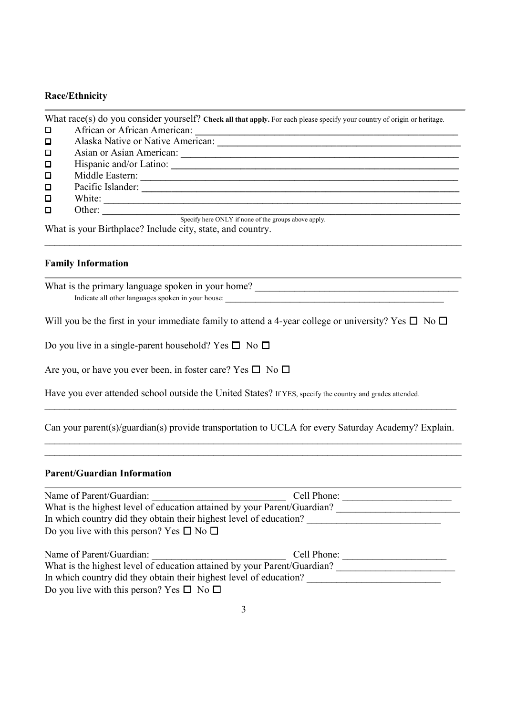#### Race/Ethnicity

|                                                            | What race(s) do you consider yourself? Check all that apply. For each please specify your country of origin or heritage. |  |
|------------------------------------------------------------|--------------------------------------------------------------------------------------------------------------------------|--|
| □                                                          | African or African American:                                                                                             |  |
| $\Box$                                                     | Alaska Native or Native American:                                                                                        |  |
| $\Box$                                                     | Asian or Asian American:                                                                                                 |  |
| $\Box$                                                     | Hispanic and/or Latino:                                                                                                  |  |
| $\Box$                                                     | Middle Eastern:                                                                                                          |  |
| $\Box$                                                     | Pacific Islander:                                                                                                        |  |
| $\Box$                                                     | White:                                                                                                                   |  |
| $\Box$                                                     | Other:                                                                                                                   |  |
|                                                            | Specify here ONLY if none of the groups above apply.                                                                     |  |
| What is your Birthplace? Include city, state, and country. |                                                                                                                          |  |

 $\_$  , and the contribution of the contribution of the contribution of the contribution of  $\mathcal{L}_\text{max}$ 

#### Family Information

What is the primary language spoken in your home? \_\_\_\_\_\_\_\_\_\_\_\_\_\_\_\_\_\_\_\_\_\_\_\_\_\_\_\_\_\_\_\_\_\_\_\_\_\_\_\_\_ Indicate all other languages spoken in your house: \_\_\_\_\_\_\_\_\_\_\_\_\_\_\_\_\_\_\_\_\_\_\_\_\_\_\_\_\_\_\_\_\_\_\_\_\_\_\_\_\_\_\_\_

Will you be the first in your immediate family to attend a 4-year college or university? Yes  $\Box$  No  $\Box$ 

Do you live in a single-parent household? Yes  $\square$  No  $\square$ 

Are you, or have you ever been, in foster care? Yes  $\square$  No  $\square$ 

Have you ever attended school outside the United States? If YES, specify the country and grades attended.

Can your parent(s)/guardian(s) provide transportation to UCLA for every Saturday Academy? Explain.  $\mathcal{L}_\text{max} = \frac{1}{2} \sum_{i=1}^n \mathcal{L}_\text{max}(\mathbf{z}_i - \mathbf{z}_i)$ 

 $\mathcal{L}_\mathcal{L} = \{ \mathcal{L}_\mathcal{L} = \{ \mathcal{L}_\mathcal{L} = \{ \mathcal{L}_\mathcal{L} = \{ \mathcal{L}_\mathcal{L} = \{ \mathcal{L}_\mathcal{L} = \{ \mathcal{L}_\mathcal{L} = \{ \mathcal{L}_\mathcal{L} = \{ \mathcal{L}_\mathcal{L} = \{ \mathcal{L}_\mathcal{L} = \{ \mathcal{L}_\mathcal{L} = \{ \mathcal{L}_\mathcal{L} = \{ \mathcal{L}_\mathcal{L} = \{ \mathcal{L}_\mathcal{L} = \{ \mathcal{L}_\mathcal{$ 

 $\mathcal{L}_\mathcal{L} = \{ \mathcal{L}_\mathcal{L} = \{ \mathcal{L}_\mathcal{L} = \{ \mathcal{L}_\mathcal{L} = \{ \mathcal{L}_\mathcal{L} = \{ \mathcal{L}_\mathcal{L} = \{ \mathcal{L}_\mathcal{L} = \{ \mathcal{L}_\mathcal{L} = \{ \mathcal{L}_\mathcal{L} = \{ \mathcal{L}_\mathcal{L} = \{ \mathcal{L}_\mathcal{L} = \{ \mathcal{L}_\mathcal{L} = \{ \mathcal{L}_\mathcal{L} = \{ \mathcal{L}_\mathcal{L} = \{ \mathcal{L}_\mathcal{$ 

#### Parent/Guardian Information

| Name of Parent/Guardian:                                                 | Cell Phone: |  |
|--------------------------------------------------------------------------|-------------|--|
| What is the highest level of education attained by your Parent/Guardian? |             |  |
| In which country did they obtain their highest level of education?       |             |  |
| Do you live with this person? Yes $\square$ No $\square$                 |             |  |
|                                                                          |             |  |
| Name of Parent/Guardian:                                                 | Cell Phone: |  |
| What is the highest level of education attained by your Parent/Guardian? |             |  |
| In which country did they obtain their highest level of education?       |             |  |
| Do you live with this person? Yes $\square$ No $\square$                 |             |  |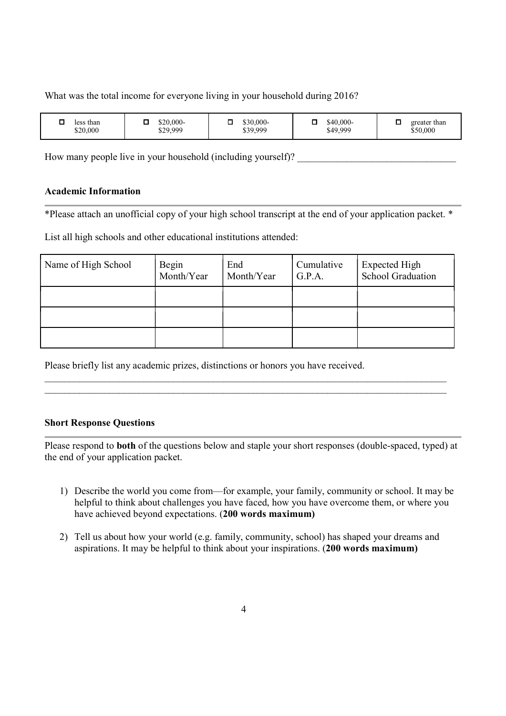What was the total income for everyone living in your household during 2016?

| than<br>less<br>\$20,000 | \$20,000-<br>\$29,999 | $$30,000-$<br>\$39,999 | \$40,000-<br>\$49,999 | greater than<br>\$50,000 |
|--------------------------|-----------------------|------------------------|-----------------------|--------------------------|
|--------------------------|-----------------------|------------------------|-----------------------|--------------------------|

How many people live in your household (including yourself)?

#### Academic Information

\*Please attach an unofficial copy of your high school transcript at the end of your application packet. \*

List all high schools and other educational institutions attended:

| Name of High School | Begin<br>Month/Year | End<br>Month/Year | Cumulative<br>G.P.A. | Expected High<br>School Graduation |
|---------------------|---------------------|-------------------|----------------------|------------------------------------|
|                     |                     |                   |                      |                                    |
|                     |                     |                   |                      |                                    |
|                     |                     |                   |                      |                                    |

 $\mathcal{L}_\mathcal{L} = \mathcal{L}_\mathcal{L} = \mathcal{L}_\mathcal{L} = \mathcal{L}_\mathcal{L} = \mathcal{L}_\mathcal{L} = \mathcal{L}_\mathcal{L} = \mathcal{L}_\mathcal{L} = \mathcal{L}_\mathcal{L} = \mathcal{L}_\mathcal{L} = \mathcal{L}_\mathcal{L} = \mathcal{L}_\mathcal{L} = \mathcal{L}_\mathcal{L} = \mathcal{L}_\mathcal{L} = \mathcal{L}_\mathcal{L} = \mathcal{L}_\mathcal{L} = \mathcal{L}_\mathcal{L} = \mathcal{L}_\mathcal{L}$  $\mathcal{L}_\mathcal{L} = \mathcal{L}_\mathcal{L} = \mathcal{L}_\mathcal{L} = \mathcal{L}_\mathcal{L} = \mathcal{L}_\mathcal{L} = \mathcal{L}_\mathcal{L} = \mathcal{L}_\mathcal{L} = \mathcal{L}_\mathcal{L} = \mathcal{L}_\mathcal{L} = \mathcal{L}_\mathcal{L} = \mathcal{L}_\mathcal{L} = \mathcal{L}_\mathcal{L} = \mathcal{L}_\mathcal{L} = \mathcal{L}_\mathcal{L} = \mathcal{L}_\mathcal{L} = \mathcal{L}_\mathcal{L} = \mathcal{L}_\mathcal{L}$ 

Please briefly list any academic prizes, distinctions or honors you have received.

#### Short Response Questions

Please respond to both of the questions below and staple your short responses (double-spaced, typed) at the end of your application packet.

- 1) Describe the world you come from—for example, your family, community or school. It may be helpful to think about challenges you have faced, how you have overcome them, or where you have achieved beyond expectations. (200 words maximum)
- 2) Tell us about how your world (e.g. family, community, school) has shaped your dreams and aspirations. It may be helpful to think about your inspirations. (200 words maximum)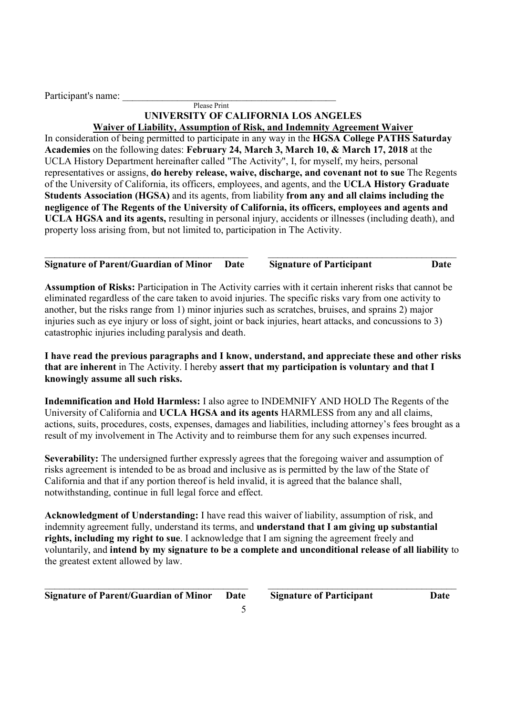Participant's name:

#### Please Print UNIVERSITY OF CALIFORNIA LOS ANGELES Waiver of Liability, Assumption of Risk, and Indemnity Agreement Waiver

In consideration of being permitted to participate in any way in the HGSA College PATHS Saturday Academies on the following dates: February 24, March 3, March 10, & March 17, 2018 at the UCLA History Department hereinafter called "The Activity", I, for myself, my heirs, personal representatives or assigns, do hereby release, waive, discharge, and covenant not to sue The Regents of the University of California, its officers, employees, and agents, and the UCLA History Graduate Students Association (HGSA) and its agents, from liability from any and all claims including the negligence of The Regents of the University of California, its officers, employees and agents and UCLA HGSA and its agents, resulting in personal injury, accidents or illnesses (including death), and property loss arising from, but not limited to, participation in The Activity.

 $\_$  , and the set of the set of the set of the set of the set of the set of the set of the set of the set of the set of the set of the set of the set of the set of the set of the set of the set of the set of the set of th Signature of Parent/Guardian of Minor Date Signature of Participant Date

Assumption of Risks: Participation in The Activity carries with it certain inherent risks that cannot be eliminated regardless of the care taken to avoid injuries. The specific risks vary from one activity to another, but the risks range from 1) minor injuries such as scratches, bruises, and sprains 2) major injuries such as eye injury or loss of sight, joint or back injuries, heart attacks, and concussions to 3) catastrophic injuries including paralysis and death.

I have read the previous paragraphs and I know, understand, and appreciate these and other risks that are inherent in The Activity. I hereby assert that my participation is voluntary and that I knowingly assume all such risks.

Indemnification and Hold Harmless: I also agree to INDEMNIFY AND HOLD The Regents of the University of California and UCLA HGSA and its agents HARMLESS from any and all claims, actions, suits, procedures, costs, expenses, damages and liabilities, including attorney's fees brought as a result of my involvement in The Activity and to reimburse them for any such expenses incurred.

Severability: The undersigned further expressly agrees that the foregoing waiver and assumption of risks agreement is intended to be as broad and inclusive as is permitted by the law of the State of California and that if any portion thereof is held invalid, it is agreed that the balance shall, notwithstanding, continue in full legal force and effect.

Acknowledgment of Understanding: I have read this waiver of liability, assumption of risk, and indemnity agreement fully, understand its terms, and understand that I am giving up substantial rights, including my right to sue. I acknowledge that I am signing the agreement freely and voluntarily, and intend by my signature to be a complete and unconditional release of all liability to the greatest extent allowed by law.

 $\_$  , and the contribution of the contribution of  $\overline{\mathcal{L}}$  , and  $\overline{\mathcal{L}}$  , and  $\overline{\mathcal{L}}$  , and  $\overline{\mathcal{L}}$ 

5

Signature of Parent/Guardian of Minor Date Signature of Participant Date